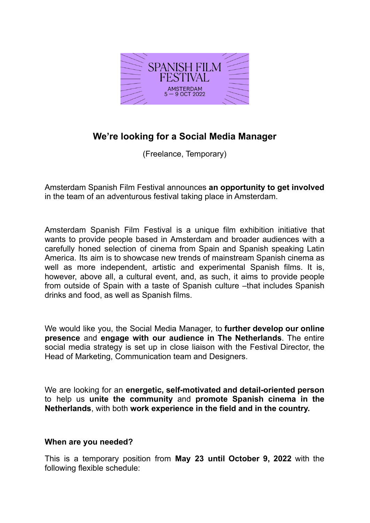

# **We're looking for a Social Media Manager**

(Freelance, Temporary)

Amsterdam Spanish Film Festival announces **an opportunity to get involved** in the team of an adventurous festival taking place in Amsterdam.

Amsterdam Spanish Film Festival is a unique film exhibition initiative that wants to provide people based in Amsterdam and broader audiences with a carefully honed selection of cinema from Spain and Spanish speaking Latin America. Its aim is to showcase new trends of mainstream Spanish cinema as well as more independent, artistic and experimental Spanish films. It is, however, above all, a cultural event, and, as such, it aims to provide people from outside of Spain with a taste of Spanish culture –that includes Spanish drinks and food, as well as Spanish films.

We would like you, the Social Media Manager, to **further develop our online presence** and **engage with our audience in The Netherlands**. The entire social media strategy is set up in close liaison with the Festival Director, the Head of Marketing, Communication team and Designers.

We are looking for an **energetic, self-motivated and detail-oriented person** to help us **unite the community** and **promote Spanish cinema in the Netherlands**, with both **work experience in the field and in the country.**

### **When are you needed?**

This is a temporary position from **May 23 until October 9, 2022** with the following flexible schedule: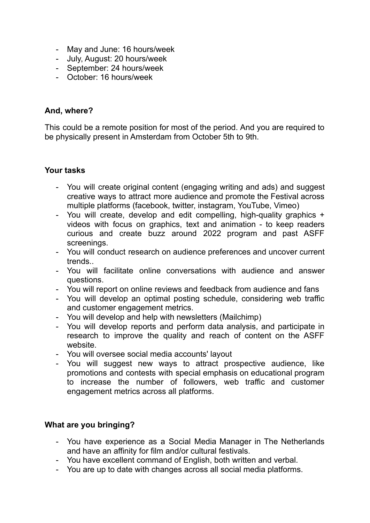- May and June: 16 hours/week
- July, August: 20 hours/week
- September: 24 hours/week
- October: 16 hours/week

## **And, where?**

This could be a remote position for most of the period. And you are required to be physically present in Amsterdam from October 5th to 9th.

## **Your tasks**

- You will create original content (engaging writing and ads) and suggest creative ways to attract more audience and promote the Festival across multiple platforms (facebook, twitter, instagram, YouTube, Vimeo)
- You will create, develop and edit compelling, high-quality graphics + videos with focus on graphics, text and animation - to keep readers curious and create buzz around 2022 program and past ASFF screenings.
- You will conduct research on audience preferences and uncover current trends..
- You will facilitate online conversations with audience and answer questions.
- You will report on online reviews and feedback from audience and fans
- You will develop an optimal posting schedule, considering web traffic and customer engagement metrics.
- You will develop and help with newsletters (Mailchimp)
- You will develop reports and perform data analysis, and participate in research to improve the quality and reach of content on the ASFF website.
- You will oversee social media accounts' layout
- You will suggest new ways to attract prospective audience, like promotions and contests with special emphasis on educational program to increase the number of followers, web traffic and customer engagement metrics across all platforms.

# **What are you bringing?**

- You have experience as a Social Media Manager in The Netherlands and have an affinity for film and/or cultural festivals.
- You have excellent command of English, both written and verbal.
- You are up to date with changes across all social media platforms.